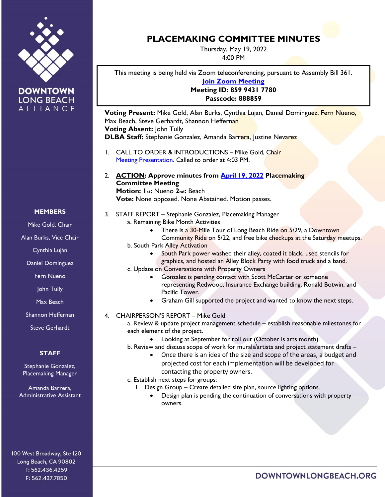



## **MEMBERS**

Mike Gold, Chair

Alan Burks, Vice Chair

Cynthia Luján

Daniel Dominguez

Fern Nueno

John Tully

Max Beach

Shannon Heffernan

Steve Gerhardt

## **STAFF**

Stephanie Gonzalez, Placemaking Manager

Amanda Barrera, Administrative Assistant

100 West Broadway, Ste 120 Long Beach, CA 90802 T: 562.436.4259 F: 562.437.7850

## **PLACEMAKING COMMITTEE MINUTES**

Thursday, May 19, 2022 4:00 PM

This meeting is being held via Zoom teleconferencing, pursuant to Assembly Bill 361. **[Join Zoom Meeting](https://us02web.zoom.us/j/85994317780?pwd=0q_e4ENsIud0sBt1eP98qIwdXWPIBx.1) Meeting ID: 859 9431 7780 Passcode: 888859**

**Voting Present:** Mike Gold, Alan Burks, Cynthia Lujan, Daniel Dominguez, Fern Nueno, Max Beach, Steve Gerhardt, Shannon Heffernan **Voting Absent:** John Tully **DLBA Staff:** Stephanie Gonzalez, Amanda Barrera, Justine Nevarez

- 1. CALL TO ORDER & INTRODUCTIONS Mike Gold, Chair [Meeting Presentation.](https://downtownlongbeach.org/wp-content/uploads/Placemaking-Committee-05-19-22.pdf) Called to order at 4:03 PM.
- 2. **ACTION: Approve minutes from April [19, 2022](https://downtownlongbeach.org/wp-content/uploads/Placemaking-04-19-2022-F-Minutes.pdf) Placemaking Committee Meeting Motion: 1st:** Nueno **2nd:** Beach **Vote:** None opposed. None Abstained. Motion passes.
- 3. STAFF REPORT Stephanie Gonzalez, Placemaking Manager a. Remaining Bike Month Activities
	- There is a 30-Mile Tour of Long Beach Ride on 5/29, a Downtown
	- Community Ride on 5/22, and free bike checkups at the Saturday meetups. b. South Park Alley Activation
		- South Park power washed their alley, coated it black, used stencils for graphics, and hosted an Alley Block Party with food truck and a band.
	- c. Update on Conversations with Property Owners
		- Gonzalez is pending contact with Scott McCarter or someone representing Redwood, Insurance Exchange building, Ronald Botwin, and Pacific Tower.
		- Graham Gill supported the project and wanted to know the next steps.
- 4. CHAIRPERSON'S REPORT Mike Gold

a. Review & update project management schedule – establish reasonable milestones for each element of the project.

• Looking at September for roll out (October is arts month).

b. Review and discuss scope of work for murals/artists and project statement drafts –

• Once there is an idea of the size and scope of the areas, a budget and projected cost for each implementation will be developed for contacting the property owners.

c. Establish next steps for groups:

- i. Design Group Create detailed site plan, source lighting options.
	- Design plan is pending the continuation of conversations with property owners.